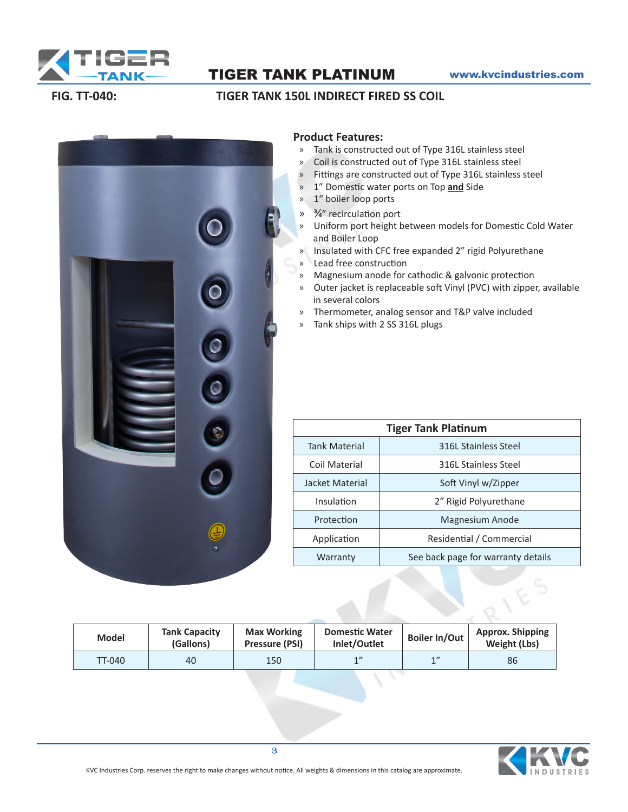

# TIGER TANK PLATINUM www.kvcindustries.com

## **FIG. TT-040: TIGER TANK 150L INDIRECT FIRED SS COIL**



### **Product Features:**

- » Tank is constructed out of Type 316L stainless steel
- » Coil is constructed out of Type 316L stainless steel
- » Fittings are constructed out of Type 316L stainless steel
- » 1" Domestic water ports on Top **and** Side
- » 1" boiler loop ports
- » 3/4" recirculation port
- » Uniform port height between models for Domestic Cold Water and Boiler Loop
- » Insulated with CFC free expanded 2" rigid Polyurethane
- » Lead free construction
- » Magnesium anode for cathodic & galvonic protection
- » Outer jacket is replaceable soft Vinyl (PVC) with zipper, available in several colors
- » Thermometer, analog sensor and T&P valve included
- » Tank ships with 2 SS 316L plugs

| <b>Tiger Tank Platinum</b> |                                    |  |  |  |  |  |  |
|----------------------------|------------------------------------|--|--|--|--|--|--|
| <b>Tank Material</b>       | 316L Stainless Steel               |  |  |  |  |  |  |
| Coil Material              | 316L Stainless Steel               |  |  |  |  |  |  |
| Jacket Material            | Soft Vinyl w/Zipper                |  |  |  |  |  |  |
| Insulation                 | 2" Rigid Polyurethane              |  |  |  |  |  |  |
| Protection                 | Magnesium Anode                    |  |  |  |  |  |  |
| Application                | Residential / Commercial           |  |  |  |  |  |  |
| Warranty                   | See back page for warranty details |  |  |  |  |  |  |

| <b>Model</b> | <b>Tank Capacity</b><br>(Gallons) | <b>Max Working</b><br>Pressure (PSI) | <b>Domestic Water</b><br>Inlet/Outlet | <b>Boiler In/Out</b> | <b>Approx. Shipping</b><br>Weight (Lbs) |
|--------------|-----------------------------------|--------------------------------------|---------------------------------------|----------------------|-----------------------------------------|
| TT-040       | 40                                | 150                                  | 1                                     | 1''                  | 86                                      |